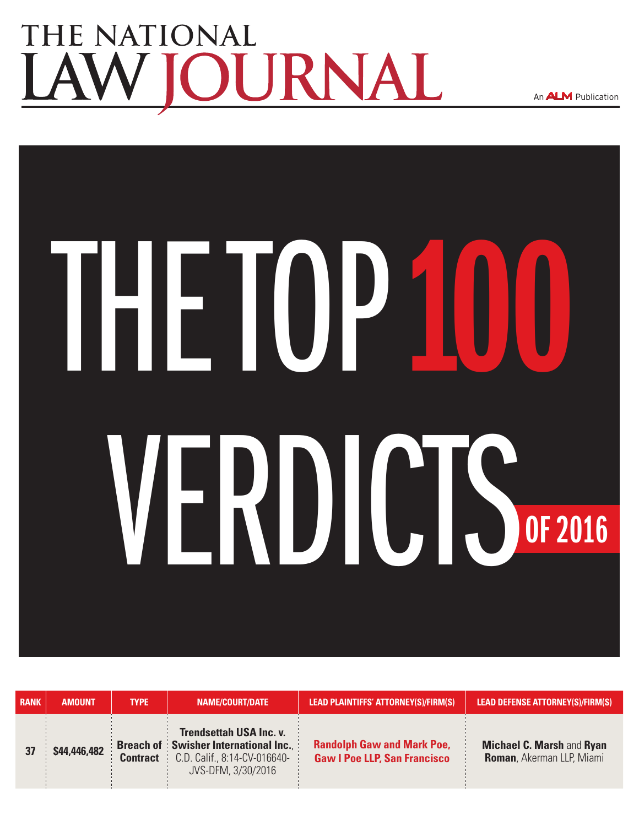# **THE NATIONAL** TOURNAL





| <b>RANK</b> | <b>AMOUNT</b> | <b>TYPE</b>     | NAME/COURT/DATE                                                                                                                     | <b>LEAD PLAINTIFFS' ATTORNEY(S)/FIRM(S)</b>                              | <b>LEAD DEFENSE ATTORNEY(S)/FIRM(S)</b>                               |
|-------------|---------------|-----------------|-------------------------------------------------------------------------------------------------------------------------------------|--------------------------------------------------------------------------|-----------------------------------------------------------------------|
| 37          | \$44,446,482  | <b>Contract</b> | <b>Trendsettah USA Inc. v.</b><br><b>Breach of Swisher International Inc.</b><br>C.D. Calif., 8:14-CV-016640-<br>JVS-DFM, 3/30/2016 | <b>Randolph Gaw and Mark Poe,</b><br><b>Gaw I Poe LLP, San Francisco</b> | <b>Michael C. Marsh and Ryan</b><br><b>Roman</b> , Akerman LLP, Miami |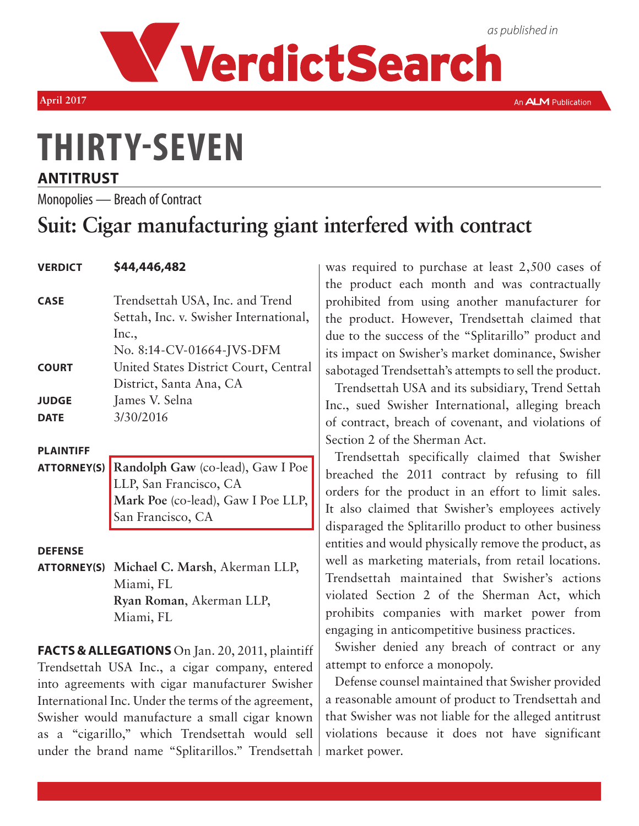

**April 2017**

An **ALM** Publication

## **THIRTY-seven**

#### **ANTITRUST**

Monopolies — Breach of Contract

### **Suit: Cigar manufacturing giant interfered with contract**

#### **Verdict \$44,446,482**

| <b>CASE</b>  | Trendsettah USA, Inc. and Trend        |
|--------------|----------------------------------------|
|              | Settah, Inc. v. Swisher International, |
|              | Inc.,                                  |
|              | No. 8:14-CV-01664-JVS-DFM              |
| <b>COURT</b> | United States District Court, Central  |
|              | District, Santa Ana, CA                |
| <b>JUDGE</b> | James V. Selna                         |
| <b>DATE</b>  | 3/30/2016                              |

#### **Plaintiff**

**Attorney(s) Randolph Gaw** (co-lead), Gaw I Poe LLP, San Francisco, CA **Mark Poe** (co-lead), Gaw I Poe LLP, San Francisco, CA

#### **Defense**

**Attorney(s) Michael C. Marsh**, Akerman LLP, Miami, FL **Ryan Roman**, Akerman LLP, Miami, FL

**Facts & Allegations** On Jan. 20, 2011, plaintiff Trendsettah USA Inc., a cigar company, entered into agreements with cigar manufacturer Swisher International Inc. Under the terms of the agreement, Swisher would manufacture a small cigar known as a "cigarillo," which Trendsettah would sell under the brand name "Splitarillos." Trendsettah

was required to purchase at least 2,500 cases of the product each month and was contractually prohibited from using another manufacturer for the product. However, Trendsettah claimed that due to the success of the "Splitarillo" product and its impact on Swisher's market dominance, Swisher sabotaged Trendsettah's attempts to sell the product.

Trendsettah USA and its subsidiary, Trend Settah Inc., sued Swisher International, alleging breach of contract, breach of covenant, and violations of Section 2 of the Sherman Act.

Trendsettah specifically claimed that Swisher breached the 2011 contract by refusing to fill orders for the product in an effort to limit sales. It also claimed that Swisher's employees actively disparaged the Splitarillo product to other business entities and would physically remove the product, as well as marketing materials, from retail locations. Trendsettah maintained that Swisher's actions violated Section 2 of the Sherman Act, which prohibits companies with market power from engaging in anticompetitive business practices.

Swisher denied any breach of contract or any attempt to enforce a monopoly.

Defense counsel maintained that Swisher provided a reasonable amount of product to Trendsettah and that Swisher was not liable for the alleged antitrust violations because it does not have significant market power.